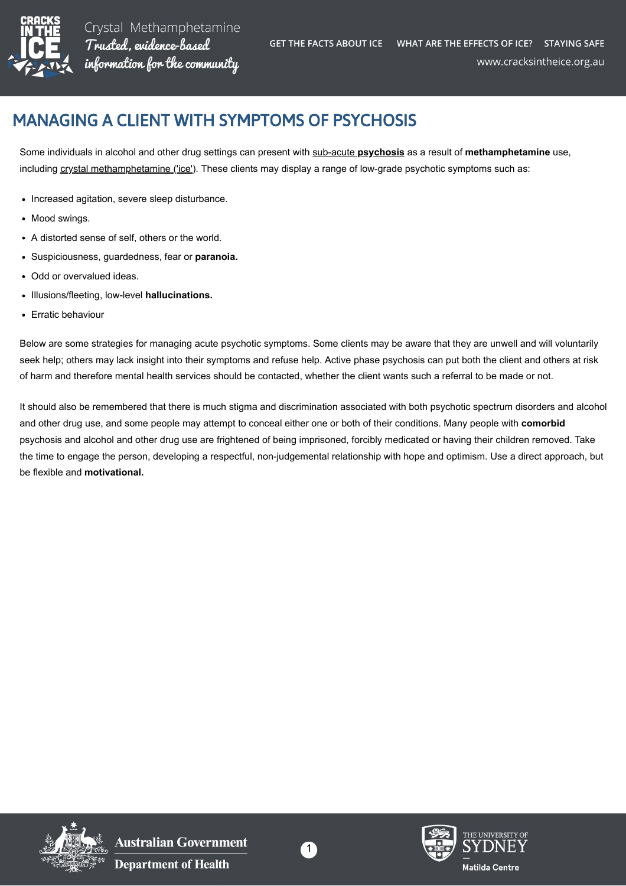

Crystal Methamphetamine Trusted, evidence-based information for the community

## MANAGING A CLIENT WITH SYMPTOMS OF PSYCHOSIS

Some individuals in alcohol and other drug settings can present with [sub-acute](https://cracksintheice.org.au/mental-health-effects) **[psychosis](https://cracksintheice.org.au/mental-health-effects)** as a result of **methamphetamine** use, including [crystal methamphetamine \('ice'\)](https://cracksintheice.org.au/what-is-ice). These clients may display a range of low-grade psychotic symptoms such as:

- Increased agitation, severe sleep disturbance.
- Mood swings.
- A distorted sense of self, others or the world.
- Suspiciousness, guardedness, fear or **paranoia.**
- Odd or overvalued ideas.
- Illusions/fleeting, low-level **hallucinations.**
- Erratic behaviour

Below are some strategies for managing acute psychotic symptoms. Some clients may be aware that they are unwell and will voluntarily seek help; others may lack insight into their symptoms and refuse help. Active phase psychosis can put both the client and others at risk of harm and therefore mental health services should be contacted, whether the client wants such a referral to be made or not.

It should also be remembered that there is much stigma and discrimination associated with both psychotic spectrum disorders and alcohol and other drug use, and some people may attempt to conceal either one or both of their conditions. Many people with **comorbid** psychosis and alcohol and other drug use are frightened of being imprisoned, forcibly medicated or having their children removed. Take the time to engage the person, developing a respectful, non-judgemental relationship with hope and optimism. Use a direct approach, but be flexible and **motivational.**



**Australian Government Department of Health** 



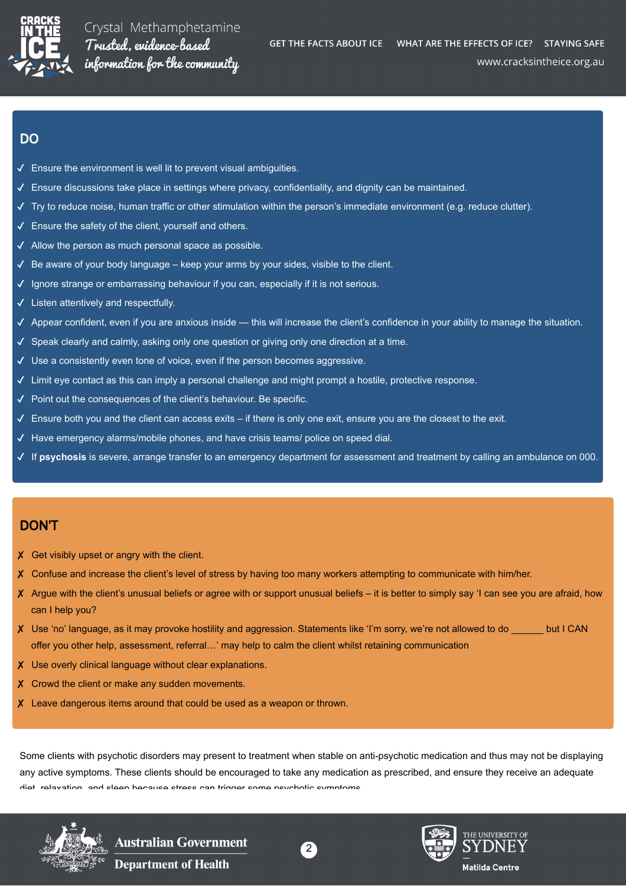

## DO

- $\checkmark$  Ensure the environment is well lit to prevent visual ambiguities.
- ✔ Ensure discussions take place in settings where privacy, confidentiality, and dignity can be maintained.
- $\checkmark$  Try to reduce noise, human traffic or other stimulation within the person's immediate environment (e.g. reduce clutter).
- ✔ Ensure the safety of the client, yourself and others.
- ✔ Allow the person as much personal space as possible.
- $\checkmark$  Be aware of your body language keep your arms by your sides, visible to the client.
- ✔ Ignore strange or embarrassing behaviour if you can, especially if it is not serious.
- ✔ Listen attentively and respectfully.
- ✔ Appear confident, even if you are anxious inside this will increase the client's confidence in your ability to manage the situation.
- ✔ Speak clearly and calmly, asking only one question or giving only one direction at a time.
- ✔ Use a consistently even tone of voice, even if the person becomes aggressive.
- ✔ Limit eye contact as this can imply a personal challenge and might prompt a hostile, protective response.
- ✔ Point out the consequences of the client's behaviour. Be specific.
- $\checkmark$  Ensure both you and the client can access exits if there is only one exit, ensure you are the closest to the exit.
- ✔ Have emergency alarms/mobile phones, and have crisis teams/ police on speed dial.
- ✔ If **psychosis** is severe, arrange transfer to an emergency department for assessment and treatment by calling an ambulance on 000.

## DON'T

- X Get visibly upset or angry with the client.
- ✘ Confuse and increase the client's level of stress by having too many workers attempting to communicate with him/her.
- ✘ Argue with the client's unusual beliefs or agree with or support unusual beliefs it is better to simply say 'I can see you are afraid, how can I help you?
- ✘ Use 'no' language, as it may provoke hostility and aggression. Statements like 'I'm sorry, we're not allowed to do \_\_\_\_\_\_ but I CAN offer you other help, assessment, referral…' may help to calm the client whilst retaining communication
- ✘ Use overly clinical language without clear explanations.
- X Crowd the client or make any sudden movements.
- ✘ Leave dangerous items around that could be used as a weapon or thrown.

Some clients with psychotic disorders may present to treatment when stable on anti-psychotic medication and thus may not be displaying any active symptoms. These clients should be encouraged to take any medication as prescribed, and ensure they receive an adequate diet relavation and cleen because stress can trigger some psychotic symptoms



Australian Government **Department of Health** 



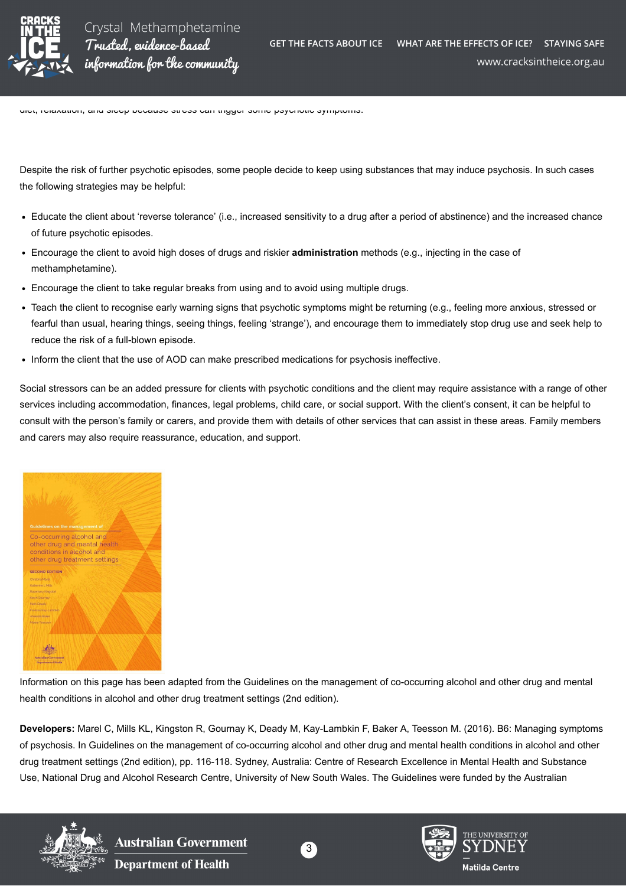

diet, relaxation, and sleep because stress can trigger some psychotic symptoms.

Despite the risk of further psychotic episodes, some people decide to keep using substances that may induce psychosis. In such cases the following strategies may be helpful:

- Educate the client about 'reverse tolerance' (i.e., increased sensitivity to a drug after a period of abstinence) and the increased chance of future psychotic episodes.
- Encourage the client to avoid high doses of drugs and riskier **administration** methods (e.g., injecting in the case of methamphetamine).
- Encourage the client to take regular breaks from using and to avoid using multiple drugs.
- Teach the client to recognise early warning signs that psychotic symptoms might be returning (e.g., feeling more anxious, stressed or fearful than usual, hearing things, seeing things, feeling 'strange'), and encourage them to immediately stop drug use and seek help to reduce the risk of a full-blown episode.
- Inform the client that the use of AOD can make prescribed medications for psychosis ineffective.

Social stressors can be an added pressure for clients with psychotic conditions and the client may require assistance with a range of other services including accommodation, finances, legal problems, child care, or social support. With the client's consent, it can be helpful to consult with the person's family or carers, and provide them with details of other services that can assist in these areas. Family members and carers may also require reassurance, education, and support.



Information on this page has been adapted from the Guidelines on the management of co-occurring alcohol and other drug and mental health conditions in alcohol and other drug treatment settings (2nd edition).

**Developers:** Marel C, Mills KL, Kingston R, Gournay K, Deady M, Kay-Lambkin F, Baker A, Teesson M. (2016). B6: Managing symptoms of psychosis. In Guidelines on the management of co-occurring alcohol and other drug and mental health conditions in alcohol and other drug treatment settings (2nd edition), pp. 116-118. Sydney, Australia: Centre of Research Excellence in Mental Health and Substance Use, National Drug and Alcohol Research Centre, University of New South Wales. The Guidelines were funded by the Australian



**Australian Government Department of Health**